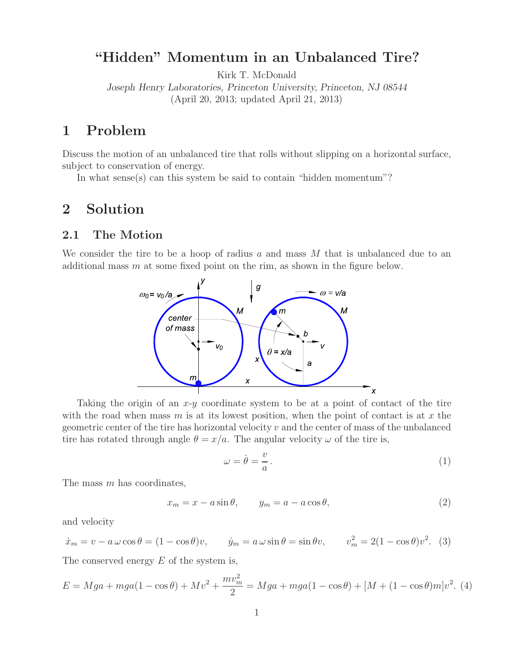## **"Hidden" Momentum in an Unbalanced Tire?**

Kirk T. McDonald

*Joseph Henry Laboratories, Princeton University, Princeton, NJ 08544* (April 20, 2013; updated April 21, 2013)

## **1 Problem**

Discuss the motion of an unbalanced tire that rolls without slipping on a horizontal surface, subject to conservation of energy.

In what sense(s) can this system be said to contain "hidden momentum"?

### **2 Solution**

#### **2.1 The Motion**

We consider the tire to be a hoop of radius  $a$  and mass  $M$  that is unbalanced due to an additional mass m at some fixed point on the rim, as shown in the figure below.



Taking the origin of an  $x-y$  coordinate system to be at a point of contact of the tire with the road when mass  $m$  is at its lowest position, when the point of contact is at  $x$  the geometric center of the tire has horizontal velocity v and the center of mass of the unbalanced tire has rotated through angle  $\theta = x/a$ . The angular velocity  $\omega$  of the tire is,

$$
\omega = \dot{\theta} = \frac{v}{a} \,. \tag{1}
$$

The mass m has coordinates,

$$
x_m = x - a\sin\theta, \qquad y_m = a - a\cos\theta,\tag{2}
$$

and velocity

$$
\dot{x}_m = v - a\,\omega\cos\theta = (1 - \cos\theta)v, \qquad \dot{y}_m = a\,\omega\sin\theta = \sin\theta v, \qquad v_m^2 = 2(1 - \cos\theta)v^2. \tag{3}
$$

The conserved energy  $E$  of the system is,

$$
E = Mga + mga(1 - \cos\theta) + Mv^2 + \frac{mv_m^2}{2} = Mga + mga(1 - \cos\theta) + [M + (1 - \cos\theta)m]v^2.
$$
 (4)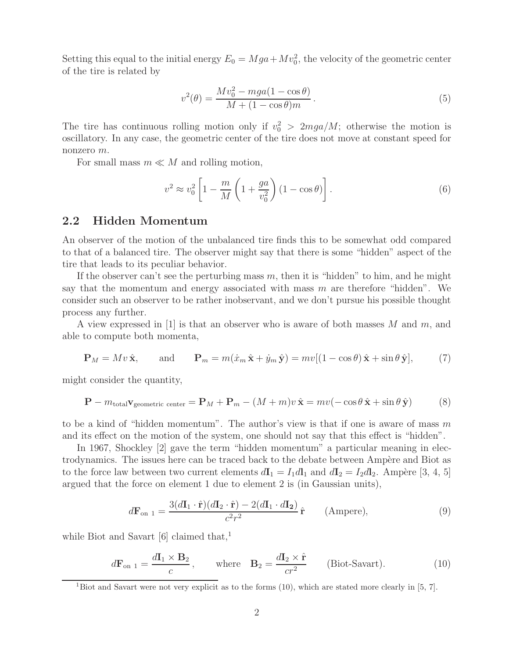Setting this equal to the initial energy  $E_0 = Mga + Mv_0^2$ , the velocity of the geometric center of the tire is related by

$$
v^{2}(\theta) = \frac{Mv_{0}^{2} - mga(1 - \cos \theta)}{M + (1 - \cos \theta)m}.
$$
 (5)

The tire has continuous rolling motion only if  $v_0^2 > 2mga/M$ ; otherwise the motion is oscillatory. In any case, the geometric center of the tire does not move at constant speed for nonzero m.

For small mass  $m \ll M$  and rolling motion,

$$
v^2 \approx v_0^2 \left[ 1 - \frac{m}{M} \left( 1 + \frac{ga}{v_0^2} \right) (1 - \cos \theta) \right]. \tag{6}
$$

#### **2.2 Hidden Momentum**

An observer of the motion of the unbalanced tire finds this to be somewhat odd compared to that of a balanced tire. The observer might say that there is some "hidden" aspect of the tire that leads to its peculiar behavior.

If the observer can't see the perturbing mass  $m$ , then it is "hidden" to him, and he might say that the momentum and energy associated with mass  $m$  are therefore "hidden". We consider such an observer to be rather inobservant, and we don't pursue his possible thought process any further.

A view expressed in [1] is that an observer who is aware of both masses  $M$  and  $m$ , and able to compute both momenta,

$$
\mathbf{P}_M = Mv\,\hat{\mathbf{x}}, \qquad \text{and} \qquad \mathbf{P}_m = m(\dot{x}_m\,\hat{\mathbf{x}} + \dot{y}_m\,\hat{\mathbf{y}}) = mv[(1 - \cos\theta)\,\hat{\mathbf{x}} + \sin\theta\,\hat{\mathbf{y}}], \tag{7}
$$

might consider the quantity,

$$
\mathbf{P} - m_{\text{total}} \mathbf{v}_{\text{geometric center}} = \mathbf{P}_M + \mathbf{P}_m - (M+m)v \hat{\mathbf{x}} = mv(-\cos\theta \hat{\mathbf{x}} + \sin\theta \hat{\mathbf{y}})
$$
(8)

to be a kind of "hidden momentum". The author's view is that if one is aware of mass  $m$ and its effect on the motion of the system, one should not say that this effect is "hidden".

In 1967, Shockley [2] gave the term "hidden momentum" a particular meaning in electrodynamics. The issues here can be traced back to the debate between Ampère and Biot as to the force law between two current elements  $d\mathbf{I}_1 = I_1 d\mathbf{l}_1$  and  $d\mathbf{I}_2 = I_2 d\mathbf{l}_2$ . Ampère [3, 4, 5] argued that the force on element 1 due to element 2 is (in Gaussian units),

$$
d\mathbf{F}_{\text{on 1}} = \frac{3(d\mathbf{I}_1 \cdot \hat{\mathbf{r}})(d\mathbf{I}_2 \cdot \hat{\mathbf{r}}) - 2(d\mathbf{I}_1 \cdot d\mathbf{I}_2)}{c^2 r^2} \hat{\mathbf{r}} \qquad \text{(Ampere)},\tag{9}
$$

while Biot and Savart  $[6]$  claimed that,<sup>1</sup>

$$
d\mathbf{F}_{\text{on 1}} = \frac{d\mathbf{I}_1 \times \mathbf{B}_2}{c}, \quad \text{where} \quad \mathbf{B}_2 = \frac{d\mathbf{I}_2 \times \hat{\mathbf{r}}}{cr^2} \quad \text{(Biot-Savart)}.
$$
 (10)

<sup>&</sup>lt;sup>1</sup>Biot and Savart were not very explicit as to the forms  $(10)$ , which are stated more clearly in  $[5, 7]$ .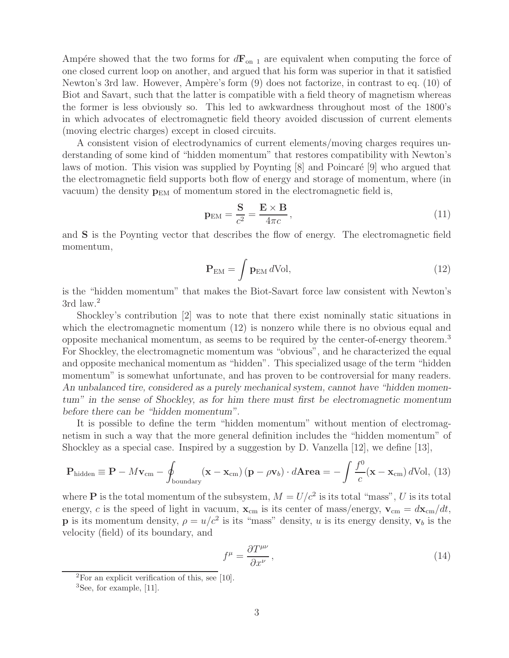Ampère showed that the two forms for  $d\mathbf{F}_{on}$  are equivalent when computing the force of one closed current loop on another, and argued that his form was superior in that it satisfied Newton's 3rd law. However, Ampère's form (9) does not factorize, in contrast to eq. (10) of Biot and Savart, such that the latter is compatible with a field theory of magnetism whereas the former is less obviously so. This led to awkwardness throughout most of the 1800's in which advocates of electromagnetic field theory avoided discussion of current elements (moving electric charges) except in closed circuits.

A consistent vision of electrodynamics of current elements/moving charges requires understanding of some kind of "hidden momentum" that restores compatibility with Newton's laws of motion. This vision was supplied by Poynting  $[8]$  and Poincaré  $[9]$  who argued that the electromagnetic field supports both flow of energy and storage of momentum, where (in vacuum) the density  $\mathbf{p}_{EM}$  of momentum stored in the electromagnetic field is,

$$
\mathbf{p}_{\rm EM} = \frac{\mathbf{S}}{c^2} = \frac{\mathbf{E} \times \mathbf{B}}{4\pi c},\tag{11}
$$

and **S** is the Poynting vector that describes the flow of energy. The electromagnetic field momentum,

$$
\mathbf{P}_{\rm EM} = \int \mathbf{p}_{\rm EM} \, d\text{Vol},\tag{12}
$$

is the "hidden momentum" that makes the Biot-Savart force law consistent with Newton's 3rd law.<sup>2</sup>

Shockley's contribution [2] was to note that there exist nominally static situations in which the electromagnetic momentum (12) is nonzero while there is no obvious equal and opposite mechanical momentum, as seems to be required by the center-of-energy theorem.<sup>3</sup> For Shockley, the electromagnetic momentum was "obvious", and he characterized the equal and opposite mechanical momentum as "hidden". This specialized usage of the term "hidden momentum" is somewhat unfortunate, and has proven to be controversial for many readers. *An unbalanced tire, considered as a purely mechanical system, cannot have "hidden momentum" in the sense of Shockley, as for him there must first be electromagnetic momentum before there can be "hidden momentum".*

It is possible to define the term "hidden momentum" without mention of electromagnetism in such a way that the more general definition includes the "hidden momentum" of Shockley as a special case. Inspired by a suggestion by D. Vanzella  $[12]$ , we define  $[13]$ ,

$$
\mathbf{P}_{\text{hidden}} \equiv \mathbf{P} - M\mathbf{v}_{\text{cm}} - \oint_{\text{boundary}} (\mathbf{x} - \mathbf{x}_{\text{cm}}) (\mathbf{p} - \rho \mathbf{v}_b) \cdot d\mathbf{Area} = -\int \frac{f^0}{c} (\mathbf{x} - \mathbf{x}_{\text{cm}}) d\text{Vol}, \ (13)
$$

where **P** is the total momentum of the subsystem,  $M = U/c^2$  is its total "mass", U is its total energy, c is the speed of light in vacuum,  $\mathbf{x}_{cm}$  is its center of mass/energy,  $\mathbf{v}_{cm} = d\mathbf{x}_{cm}/dt$ , **p** is its momentum density,  $\rho = u/c^2$  is its "mass" density, u is its energy density,  $\mathbf{v}_b$  is the velocity (field) of its boundary, and

$$
f^{\mu} = \frac{\partial T^{\mu\nu}}{\partial x^{\nu}},\tag{14}
$$

 ${}^{2}$ For an explicit verification of this, see [10].

 ${}^{3}$ See, for example, [11].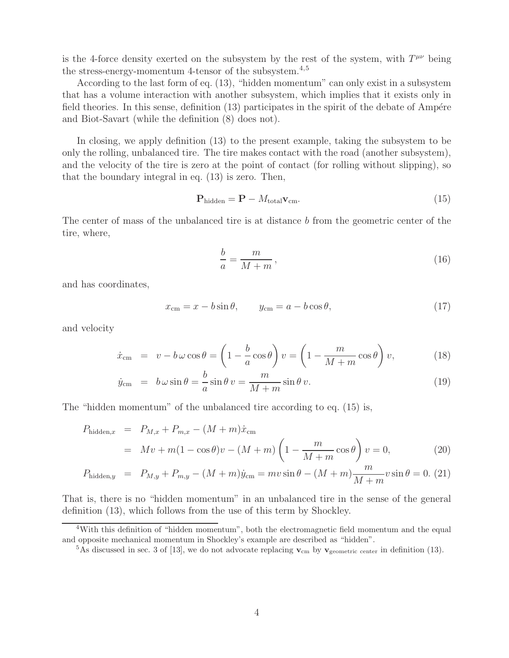is the 4-force density exerted on the subsystem by the rest of the system, with  $T^{\mu\nu}$  being the stress-energy-momentum 4-tensor of the subsystem.4,5

According to the last form of eq. (13), "hidden momentum" can only exist in a subsystem that has a volume interaction with another subsystem, which implies that it exists only in field theories. In this sense, definition  $(13)$  participates in the spirit of the debate of Ampére and Biot-Savart (while the definition (8) does not).

In closing, we apply definition (13) to the present example, taking the subsystem to be only the rolling, unbalanced tire. The tire makes contact with the road (another subsystem), and the velocity of the tire is zero at the point of contact (for rolling without slipping), so that the boundary integral in eq. (13) is zero. Then,

$$
\mathbf{P}_{\text{hidden}} = \mathbf{P} - M_{\text{total}} \mathbf{v}_{\text{cm}}.\tag{15}
$$

The center of mass of the unbalanced tire is at distance b from the geometric center of the tire, where,

$$
\frac{b}{a} = \frac{m}{M+m},\tag{16}
$$

and has coordinates,

$$
x_{\rm cm} = x - b \sin \theta, \qquad y_{\rm cm} = a - b \cos \theta,\tag{17}
$$

and velocity

$$
\dot{x}_{\text{cm}} = v - b\,\omega\cos\theta = \left(1 - \frac{b}{a}\cos\theta\right)v = \left(1 - \frac{m}{M+m}\cos\theta\right)v,\tag{18}
$$

$$
\dot{y}_{\rm cm} = b\,\omega\sin\theta = \frac{b}{a}\sin\theta\,v = \frac{m}{M+m}\sin\theta\,v.\tag{19}
$$

The "hidden momentum" of the unbalanced tire according to eq. (15) is,

$$
P_{\text{hidden},x} = P_{M,x} + P_{m,x} - (M+m)\dot{x}_{\text{cm}}
$$
  
=  $Mv + m(1 - \cos\theta)v - (M+m)\left(1 - \frac{m}{M+m}\cos\theta\right)v = 0,$  (20)

$$
P_{\text{hidden},y} = P_{M,y} + P_{m,y} - (M+m)\dot{y}_{\text{cm}} = mv\sin\theta - (M+m)\frac{m}{M+m}v\sin\theta = 0. (21)
$$

That is, there is no "hidden momentum" in an unbalanced tire in the sense of the general definition (13), which follows from the use of this term by Shockley.

<sup>&</sup>lt;sup>4</sup>With this definition of "hidden momentum", both the electromagnetic field momentum and the equal and opposite mechanical momentum in Shockley's example are described as "hidden".

<sup>&</sup>lt;sup>5</sup>As discussed in sec. 3 of [13], we do not advocate replacing  $\mathbf{v}_{cm}$  by  $\mathbf{v}_{geometric \ center}$  in definition (13).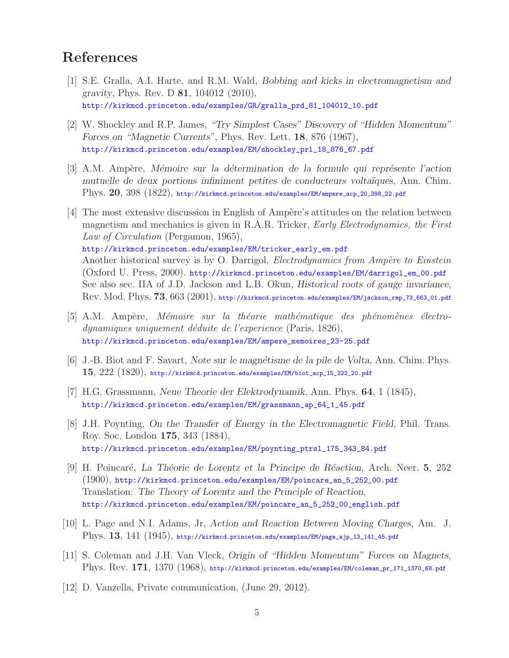# **References**

- [1] S.E. Gralla, A.I. Harte, and R.M. Wald, *Bobbing and kicks in electromagnetism and gravity*, Phys. Rev. D **81**, 104012 (2010), http://kirkmcd.princeton.edu/examples/GR/gralla\_prd\_81\_104012\_10.pdf
- [2] W. Shockley and R.P. James, *"Try Simplest Cases" Discovery of "Hidden Momentum" Forces on "Magnetic Currents"*, Phys. Rev. Lett. **18**, 876 (1967), http://kirkmcd.princeton.edu/examples/EM/shockley\_prl\_18\_876\_67.pdf
- [3] A.M. Amp`ere, *M´emoire sur la d´etermination de la formule qui repr´esente l'action mutuelle de deux portions infiniment petites de conducteurs volta¨ıques*, Ann. Chim. Phys. **20**, 398 (1822), http://kirkmcd.princeton.edu/examples/EM/ampere\_acp\_20\_398\_22.pdf
- [4] The most extensive discussion in English of Ampère's attitudes on the relation between magnetism and mechanics is given in R.A.R. Tricker, *Early Electrodynamics, the First Law of Circulation* (Pergamon, 1965), http://kirkmcd.princeton.edu/examples/EM/tricker\_early\_em.pdf Another historical survey is by O. Darrigol, *Electrodynamics from Ampère to Einstein* (Oxford U. Press, 2000). http://kirkmcd.princeton.edu/examples/EM/darrigol\_em\_00.pdf See also sec. IIA of J.D. Jackson and L.B. Okun, *Historical roots of gauge invariance*, Rev. Mod. Phys. **73**, 663 (2001), http://kirkmcd.princeton.edu/examples/EM/jackson\_rmp\_73\_663\_01.pdf
- [5] A.M. Ampère, *Mémoire sur la théorie mathématique des phénomènes électrodynamiques uniquement d´eduite de l'experience* (Paris, 1826), http://kirkmcd.princeton.edu/examples/EM/ampere\_memoires\_23-25.pdf
- [6] J.-B. Biot and F. Savart, *Note sur le magn´etisme de la pile de Volta*, Ann. Chim. Phys. **15**, 222 (1820), http://kirkmcd.princeton.edu/examples/EM/biot\_acp\_15\_222\_20.pdf
- [7] H.G. Grassmann, *Neue Theorie der Elektrodynamik*, Ann. Phys. **64**, 1 (1845), http://kirkmcd.princeton.edu/examples/EM/grassmann\_ap\_64\_1\_45.pdf
- [8] J.H. Poynting, *On the Transfer of Energy in the Electromagnetic Field*, Phil. Trans. Roy. Soc. London **175**, 343 (1884), http://kirkmcd.princeton.edu/examples/EM/poynting\_ptrsl\_175\_343\_84.pdf
- [9] H. Poincar´e, *La Th´eorie de Lorentz et la Principe de R´eaction*, Arch. Neer. **5**, 252 (1900), http://kirkmcd.princeton.edu/examples/EM/poincare\_an\_5\_252\_00.pdf Translation: *The Theory of Lorentz and the Principle of Reaction*, http://kirkmcd.princeton.edu/examples/EM/poincare\_an\_5\_252\_00\_english.pdf
- [10] L. Page and N.I. Adams, Jr, *Action and Reaction Between Moving Charges*, Am. J. Phys. **13**, 141 (1945), http://kirkmcd.princeton.edu/examples/EM/page\_ajp\_13\_141\_45.pdf
- [11] S. Coleman and J.H. Van Vleck, *Origin of "Hidden Momentum" Forces on Magnets*, Phys. Rev. **171**, 1370 (1968), http://kirkmcd.princeton.edu/examples/EM/coleman\_pr\_171\_1370\_68.pdf
- [12] D. Vanzella, Private communication, (June 29, 2012).